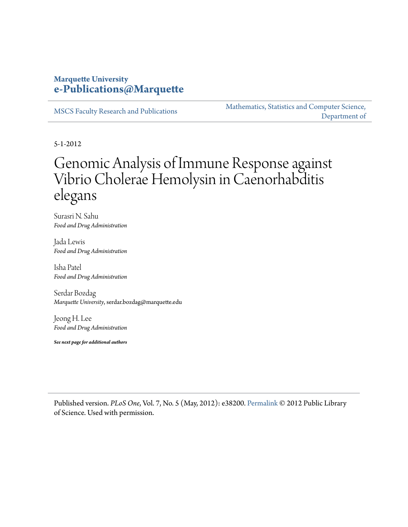## **Marquette University [e-Publications@Marquette](http://epublications.marquette.edu)**

[MSCS Faculty Research and Publications](http://epublications.marquette.edu/mscs_fac)

[Mathematics, Statistics and Computer Science,](http://epublications.marquette.edu/mscs) [Department of](http://epublications.marquette.edu/mscs)

5-1-2012

# Genomic Analysis of Immune Response against Vibrio Cholerae Hemolysin in Caenorhabditis elegans

Surasri N. Sahu *Food and Drug Administration*

Jada Lewis *Food and Drug Administration*

Isha Patel *Food and Drug Administration*

Serdar Bozdag *Marquette University*, serdar.bozdag@marquette.edu

Jeong H. Lee *Food and Drug Administration*

*See next page for additional authors*

Published version. *PLoS One*, Vol. 7, No. 5 (May, 2012): e38200. [Permalink](http://dx.doi.org/10.1371/journal.pone.0038200) © 2012 Public Library of Science. Used with permission.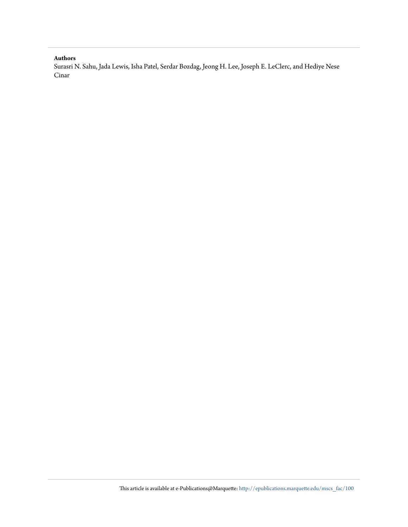## **Authors**

Surasri N. Sahu, Jada Lewis, Isha Patel, Serdar Bozdag, Jeong H. Lee, Joseph E. LeClerc, and Hediye Nese Cinar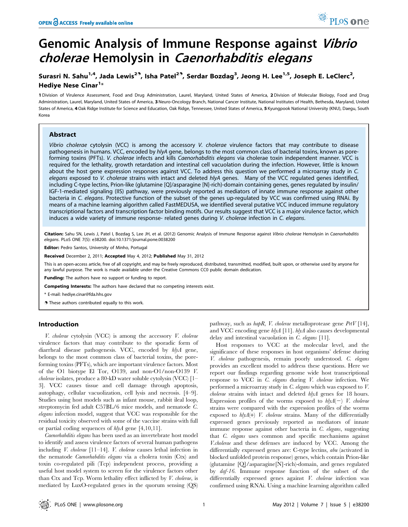# Genomic Analysis of Immune Response against Vibrio cholerae Hemolysin in Caenorhabditis elegans

## Surasri N. Sahu<sup>1,4</sup>, Jada Lewis<sup>29</sup>, Isha Patel<sup>29</sup>, Serdar Bozdag<sup>3</sup>, Jeong H. Lee<sup>1,5</sup>, Joseph E. LeClerc<sup>2</sup>, Hediye Nese Cinar<sup>1</sup>\*

1 Division of Virulence Assessment, Food and Drug Administration, Laurel, Maryland, United States of America, 2 Division of Molecular Biology, Food and Drug Administration, Laurel, Maryland, United States of America, 3 Neuro-Oncology Branch, National Cancer Institute, National Institutes of Health, Bethesda, Maryland, United States of America, 4Oak Ridge Institute for Science and Education, Oak Ridge, Tennessee, United States of America, 5 Kyungpook National University (KNU), Daegu, South Korea

## Abstract

Vibrio cholerae cytolysin (VCC) is among the accessory V. cholerae virulence factors that may contribute to disease pathogenesis in humans. VCC, encoded by hlyA gene, belongs to the most common class of bacterial toxins, known as poreforming toxins (PFTs). V. cholerae infects and kills Caenorhabditis elegans via cholerae toxin independent manner. VCC is required for the lethality, growth retardation and intestinal cell vacuolation during the infection. However, little is known about the host gene expression responses against VCC. To address this question we performed a microarray study in C. elegans exposed to V. cholerae strains with intact and deleted hlyA genes. Many of the VCC regulated genes identified, including C-type lectins, Prion-like (glutamine [Q]/asparagine [N]-rich)-domain containing genes, genes regulated by insulin/ IGF-1-mediated signaling (IIS) pathway, were previously reported as mediators of innate immune response against other bacteria in C. elegans. Protective function of the subset of the genes up-regulated by VCC was confirmed using RNAi. By means of a machine learning algorithm called FastMEDUSA, we identified several putative VCC induced immune regulatory transcriptional factors and transcription factor binding motifs. Our results suggest that VCC is a major virulence factor, which induces a wide variety of immune response- related genes during V. cholerae infection in C. elegans.

Citation: Sahu SN, Lewis J, Patel I, Bozdag S, Lee JH, et al. (2012) Genomic Analysis of Immune Response against Vibrio cholerae Hemolysin in Caenorhabditis elegans. PLoS ONE 7(5): e38200. doi:10.1371/journal.pone.0038200

Editor: Pedro Santos, University of Minho, Portugal

Received December 2, 2011; Accepted May 4, 2012; Published May 31, 2012

This is an open-access article, free of all copyright, and may be freely reproduced, distributed, transmitted, modified, built upon, or otherwise used by anyone for any lawful purpose. The work is made available under the Creative Commons CC0 public domain dedication.

Funding: The authors have no support or funding to report.

Competing Interests: The authors have declared that no competing interests exist.

\* E-mail: hediye.cinar@fda.hhs.gov

. These authors contributed equally to this work.

#### Introduction

V. cholerae cytolysin (VCC) is among the accessory V. cholerae virulence factors that may contribute to the sporadic form of diarrheal disease pathogenesis. VCC, encoded by hlyA gene, belongs to the most common class of bacterial toxins, the poreforming toxins (PFTs), which are important virulence factors. Most of the O1 biotype El Tor, O139, and non-O1/non-O139 V. *cholerae* isolates, produce a 80-kD water soluble cytolysin (VCC)  $[1 -$ 3]. VCC causes tissue and cell damage through apoptosis, autophagy, cellular vacuolization, cell lysis and necrosis. [4–9]. Studies using host models such as infant mouse, rabbit ileal loop, streptomycin fed adult C57BL/6 mice models, and nematode C. elegans infection model, suggest that VCC was responsible for the residual toxicity observed with some of the vaccine strains with full or partial coding sequences of  $hlyA$  gene [4,10,11].

Caenorhabditis elegans has been used as an invertebrate host model to identify and assess virulence factors of several human pathogens including V. cholerae [11–14]. V. cholerae causes lethal infection in the nematode Caenorhabditis elegans via a cholera toxin (Ctx) and toxin co-regulated pili (Tcp) independent process, providing a useful host model system to screen for the virulence factors other than Ctx and Tcp. Worm lethality effect inflicted by V. cholerae, is mediated by LuxO-regulated genes in the quorum sensing (QS) pathway, such as  $\frac{hapR}{V}$ . *cholerae* metalloprotease gene  $PrV$  [14], and VCC encoding gene hlyA [11]. hlyA also causes developmental delay and intestinal vacuolation in C. elegans [11].

PLoS one

Host responses to VCC at the molecular level, and the significance of these responses in host organisms' defense during V. cholerae pathogenesis, remain poorly understood. C. elegans provides an excellent model to address these questions. Here we report our findings regarding genome wide host transcriptional response to VCC in C. elegans during V. cholerae infection. We performed a microarray study in C. elegans which was exposed to V. cholerae strains with intact and deleted hlyA genes for 18 hours. Expression profiles of the worms exposed to  $h/yA(-)$  V. cholerae strains were compared with the expression profiles of the worms exposed to  $hlyA(+)$  *V. cholerae* strains. Many of the differentially expressed genes previously reported as mediators of innate immune response against other bacteria in C. elegans, suggesting that C. elegans uses common and specific mechanisms against V.cholerae and these defenses are induced by VCC. Among the differentially expressed genes are: C-type lectins, abu (activated in blocked unfolded protein response) genes, which contain Prion-like (glutamine [Q]/asparagine[N]-rich)-domain, and genes regulated by daf-16. Immune response function of the subset of the differentially expressed genes against V. cholerae infection was confirmed using RNAi. Using a machine learning algorithm called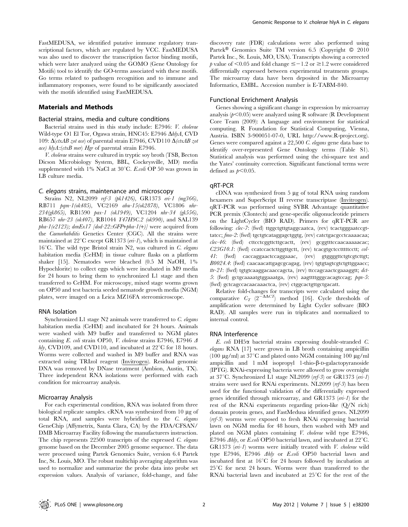FastMEDUSA, we identified putative immune regulatory transcriptional factors, which are regulated by VCC. FastMEDUSA was also used to discover the transcription factor binding motifs, which were later analyzed using the GOMO (Gene Ontology for Motifs) tool to identify the GO-terms associated with these motifs. Go terms related to pathogen recognition and to immune and inflammatory responses, were found to be significantly associated with the motifs identified using FastMEDUSA.

### Materials and Methods

#### Bacterial strains, media and culture conditions

Bacterial strains used in this study include: E7946: V. cholerae Wild-type O1 El Tor, Ogawa strain, HNC45: E7946 AhlyA, CVD 109:  $\Delta$ (ctxAB zot ace) of parental strain E7946, CVD110  $\Delta$ (ctxAB zot ace) hlyA::(ctxB mer) Hgr of parental strain E7946.

V. cholerae strains were cultured in tryptic soy broth (TSB, Becton Dicson Microbiology System, BBL, Cockeysville, MD) media supplemented with 1% NaCl at  $30^{\circ}$ C. E.coli OP 50 was grown in LB culture media.

#### C. elegans strains, maintenance and microscopy

Strains N2, NL2099 rrf-3 (pk1426), GR1373 eri-1 (mg366), RB711 pqm-1(ok485), VC2169 abu-15(ok2878), VC1806 nhr-234(gk865), RB1590 pax-1 (ok1949), VC1204 nhr-34 (gk556), RB657 nhr-23 (ok407), RB1044 Y47H9C.2 (ok990), and SAL139  $pha-I(e2123)$ ; denEx17 [dod-22::GFP+pha-1(+)] were acquired from the Caenorhabditis Genetics Center (CGC). All the strains were maintained at  $22^{\circ}$ C except GR1373 (en-1), which is maintained at  $16^{\circ}$ C. The wild type Bristol strain N2, was cultured in C. elegans habitation media (CeHM) in tissue culture flasks on a platform shaker [15]. Nematodes were bleached (0.5 M NaOH, 1% Hypochlorite) to collect eggs which were incubated in M9 media for 24 hours to bring them to synchronized L1 stage and then transferred to CeHM. For microscopy, mixed stage worms grown on OP50 and test bacteria seeded nematode growth media (NGM) plates, were imaged on a Leica MZ16FA stereomicroscope.

#### RNA Isolation

Synchronized L1 stage N2 animals were transferred to C. elegans habitation media (CeHM) and incubated for 24 hours. Animals were washed with M9 buffer and transferred to NGM plates containing E. coli strain OP50, V. cholerae strains E7946, E7946  $\varDelta$ hly, CVD109, and CVD110, and incubated at  $22^{\circ}$ C for 18 hours. Worms were collected and washed in M9 buffer and RNA was extracted using TRIzol reagent (Invitrogen). Residual genomic DNA was removed by DNase treatment (Ambion, Austin, TX). Three independent RNA isolations were performed with each condition for microarray analysis.

#### Microarray Analysis

For each experimental condition, RNA was isolated from three biological replicate samples. cRNA was synthesized from 10 µg of total RNA, and samples were hybridized to the C. elegans GeneChip (Affymetrix, Santa Clara, CA) by the FDA/CFSAN/ DMB Microarray Facility following the manufacturers instruction. The chip represents 22500 transcripts of the expressed C. elegans genome based on the December 2005 genome sequence. The data were processed using Partek Genomics Suite, version 6.4 Partek Inc, St. Louis, MO. The robust multichip averaging algorithm was used to normalize and summarize the probe data into probe set expression values. Analysis of variance, fold-change, and false

discovery rate (FDR) calculations were also performed using Partek<sup>®</sup> Genomics Suite TM version 6.5 (Copyright  $© 2010$ Partek Inc., St. Louis, MO, USA). Transcripts showing a corrected p value of  $\leq 0.05$  and fold change  $\leq -1.2$  or  $\geq 1.2$  were considered differentially expressed between experimental treatments groups. The microarray data have been deposited in the Microarray Informatics, EMBL. Accession number is E-TABM-840.

#### Functional Enrichment Analysis

Genes showing a significant change in expression by microarray analysis ( $p<0.05$ ) were analyzed using R software (R Development Core Team (2009): A language and environment for statistical computing. R Foundation for Statistical Computing, Vienna, Austria. ISBN 3-900051-07-0, URL http://www.R-project.org). Genes were compared against a 22,500 C. elegans gene data base to identify over-represented Gene Ontology terms (Table S1). Statistical analysis was performed using the chi-square test and the Yates' continuity correction. Significant functional terms were defined as  $p<0.05$ .

#### qRT-PCR

 $cDNA$  was synthesized from  $5 \mu$ g of total RNA using random hexamers and SuperScript II reverse transcriptase (Invitrogen). qRT-PCR was performed using SYBR Advantage quantitative PCR premix (Clontech) and gene-specific oligonucleotide primers on the LightCycler (BIO RAD). Primers for qRT-PCR are following: *clec-7*: (fwd) ttggctgttgtaggcaatca, (rev) tcactgggaatccgttatcc; fmo-2: (fwd) tgctgtcataggagctggtg, (rev) catctgacgcctcaaaacaa; clec-46: (fwd) cttcctcggttcttgcactt, (rev) gcggtttccaacaaaaacac; C23G10.1: (fwd) ccatccactcttggttgctt, (rev) tcacgtgctcctttttcctt; col-41: (fwd) caccaggaactccaggaaac, (rev) gtggggttctgtcgtcttgt; B0024.4: (fwd) caacaacattgagcgcagag, (rev) tgtgtagtcgtctgttggaacc;  $tr-21$ : (fwd) tgtgtcaaggacaaccagcta, (rev) ttccagcaactcgaaaggtt;  $det$ 5: (fwd) gctgcaaaatgtggaaatga, (rev) aagttttgggcacagtccag; pqn-5: (fwd) gctcagccacaacaaactca, (rev) ctggcactgttgctgacatt.

Relative fold-changes for transcripts were calculated using the comparative  $C_T$  (2<sup> $\overline{ }\Delta\Delta CT$ </sup>) method [16]. Cycle thresholds of amplification were determined by Light Cycler software (BIO RAD). All samples were run in triplicates and normalized to internal control.

### RNA Interference

E. coli DH5a bacterial strains expressing double-stranded C. elegans RNA [17] were grown in LB broth containing ampicillin (100  $\mu$ g/ml) at 37<sup>°</sup>C and plated onto NGM containing 100  $\mu$ g/ml ampicillin and  $1 \text{ mM}$  isopropyl 1-thio- $\beta$ -D-galactopyranoside (IPTG). RNAi-expressing bacteria were allowed to grow overnight at  $37^{\circ}$ C. Synchronized L1 stage NL2099 (rrf-3) or GR1373 (eri-1) strains were used for RNAi experiments. NL2099 ( $\eta$ f-3) has been used for the functional validation of the differentially expressed genes identified through microarray, and GR1373 (eri-1) for the rest of the RNAi experiments regarding prion-like (Q/N rich) domain protein genes, and FastMedusa identified genes. NL2099  $(rrf-3)$  worms were exposed to fresh RNAi expressing bacterial lawn on NGM media for 48 hours, then washed with M9 and plated on NGM plates containing V. cholerae wild type E7946, E7946  $\Delta$ hly, or *E.coli* OP50 bacterial lawn, and incubated at 22 $^{\circ}$ C. GR1373 (en-1) worms were initially treated with V. cholerae wild type E7946, E7946 Ahly or E.coli OP50 bacterial lawn and incubated first at  $16^{\circ}$ C for 24 hours followed by incubation at  $25^{\circ}$ C for next 24 hours. Worms were than transferred to the RNAi bacterial lawn and incubated at  $25^{\circ}$ C for the rest of the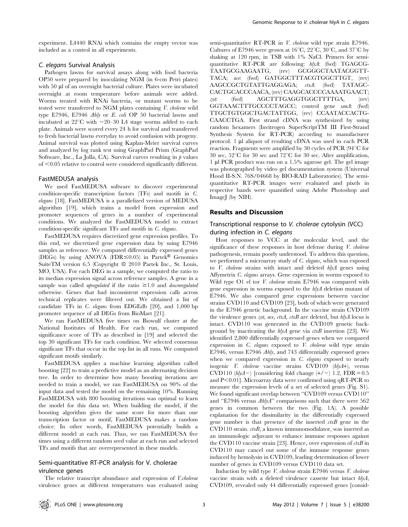experiment. L4440 RNAi which contains the empty vector was included as a control in all experiments.

#### C. elegans Survival Analysis

Pathogen lawns for survival assays along with food bacteria OP50 were prepared by inoculating NGM (in 6-cm Petri plates) with 50 µl of an overnight bacterial culture. Plates were incubated overnight at room temperature before animals were added. Worms treated with RNAi bacteria, or mutant worms to be tested were transferred to NGM plates containing V. cholerae wild type E7946, E7946  $\Delta hly$  or E. coli OP 50 bacterial lawns and incubated at  $22^{\circ}$ C with  $\sim$ 20–30 L4 stage worms added to each plate. Animals were scored every 24 h for survival and transferred to fresh bacterial lawns everyday to avoid confusion with progeny. Animal survival was plotted using Kaplan-Meier survival curves and analyzed by log rank test using GraphPad Prism (GraphPad Software, Inc., La Jolla, CA). Survival curves resulting in  $p$  values of  $<$ 0.05 relative to control were considered significantly different.

### FastMEDUSA analysis

We used FastMEDUSA software to discover experimental condition-specific transcription factors (TFs) and motifs in C. elegans [18]. FastMEDUSA is a parallelized version of MEDUSA algorithm [19], which trains a model from expression and promoter sequences of genes in a number of experimental conditions. We analyzed the FastMEDUSA model to extract condition-specific significant TFs and motifs in C. elegans.

FastMEDUSA requires discretized gene expression profiles. To this end, we discretized gene expression data by using E7946 samples as reference. We computed differentially expressed genes (DEGs) by using ANOVA (FDR $\leq 0.05$ ) in Partek® Genomics SuiteTM version 6.5 (Copyright © 2010 Partek Inc., St. Louis, MO, USA). For each DEG in a sample, we computed the ratio to its median expression signal across reference samples. A gene in a sample was called *upregulated* if the ratio  $\geq 1.0$  and *downregulated* otherwise. Genes that had inconsistent expression calls across technical replicates were filtered out. We obtained a list of candidate TFs in C. elegans from EDGEdb [20], and 1,000 bp promoter sequence of all DEGs from BioMart [21].

We ran FastMEDUSA five times on Biowulf cluster at the National Institutes of Health. For each run, we computed significance score of TFs as described in [19] and selected the top 30 significant TFs for each condition. We selected consensus significant TFs that occur in the top list in all runs. We computed significant motifs similarly.

FastMEDUSA applies a machine learning algorithm called boosting [22] to train a predictive model as an alternating decision tree. In order to determine how many boosting iterations are needed to train a model, we ran FastMEDUSA on 90% of the input data and tested the model on the remaining 10%. Running FastMEDUSA with 800 boosting iterations was optimal to learn the model for this data set. When building the model, if the boosting algorithm gives the same score for more than one transcription factor or motif, FastMEDUSA makes a random choice. In other words, FastMEDUSA potentially builds a different model at each run. Thus, we ran FastMEDUSA five times using a different random seed value at each run and selected TFs and motifs that are overrepresented in these models.

## Semi-quantitative RT-PCR analysis for V. cholerae virulence genes

The relative transcript abundance and expression of *V.cholerae* virulence genes at different temperatures was evaluated using semi-quantitative RT-PCR in *V. cholerae* wild type strain E7946. Cultures of E7946 were grown at  $16^{\circ}$ C,  $22^{\circ}$ C,  $30^{\circ}$ C, and  $37^{\circ}$ C by shaking at 120 rpm, in TSB with 1% NaCl. Primers for semiquantitative RT-PCR are following: hlyA: (fwd) TGAGCG-TAATGCGAAGAATG, (rev) GCGGGCTAATACGGTT-TACA; ace: (fwd) GATGGCTTTACGTGGCTTGT, (rev) AAGCCGCTGTATTGAGGAGA; ctxA: (fwd) TATAGC-CACTGCACCCAACA, (rev) CAAGCACCCCAAAATGAACT; zot: (fwd) AGCTTTGAGGTGGCTTTTGA, (rev) GGTAAACTTTGCCCCTAGCC; control gene sanA: (fwd) TTGCTGTGGCTGACTATTGG, (rev) CCAATACCACTG-CAACCTGA. First strand cDNA was synthesized by using random hexamers (Invitrogen SuperScriptTM III First-Strand Synthesis System for RT-PCR) according to manufacturer protocol. 1 µl aliquot of resulting cDNA was used in each PCR reaction. Fragments were amplified by 30 cycles of PCR (94°C for 30 sec,  $52^{\circ}$ C for 30 sec and  $72^{\circ}$ C for 30 sec. After amplification, 1 ml PCR product was run on a 1.5% agarose gel. The gel image was photographed by video gel documentation system (Universal Hood II-S.N. 76S/04668 by BIO-RAD Laboratories). The semiquantitative RT-PCR images were evaluated and pixels in respective bands were quantified using Adobe Photoshop and ImageJ (by NIH).

### Results and Discussion

## Transcriptional response to V. cholerae cytolysin (VCC) during infection in C. elegans

Host responses to VCC at the molecular level, and the significance of these responses in host defense during *V. cholerae* pathogenesis, remain poorly understood. To address this question, we performed a microarray study of C. elegans, which was exposed to V. cholerae strains with intact and deleted hlyA genes using Affymetrix C. elegans arrays. Gene expression in worms exposed to Wild type O1 el tor *V. cholerae* strain E7946 was compared with gene expression in worms exposed to the hlyA deletion mutant of E7946. We also compared gene expressions between vaccine strains CVD110 and CVD109 [23], both of which were generated in the E7946 genetic background. In the vaccine strain CVD109 the virulence genes zot, ace, ctxA, ctxB are deleted, but  $h/yA$  locus is intact. CVD110 was generated in the CVD109 genetic background by inactivating the  $h/yA$  gene via  $\alpha xB$  insertion [23]. We identified 2,800 differentially expressed genes when we compared expression in C. elegans exposed to V. cholerae wild type strain E7946, versus E7946  $\Delta h$ ly, and 743 differentially expressed genes when we compared expression in  $C$ . elegans exposed to nearly isogenic V. cholerae vaccine strains CVD109 (hlyA+), versus CVD110 (hlyA-) [considering fold change  $(+/-)$  1.2, FDR = 0.5 and  $P<0.01$ ]. Microarray data were confirmed using qRT-PCR to measure the expression levels of a set of selected genes (Fig. S1). We found significant overlap between ''CVD109 versus CVD110'' and "E7946 versus  $\Delta h l y A$ " comparisons such that there were 562 genes in common between the two (Fig. 1A). A possible explanation for the dissimilarity in the differentially expressed gene number is that presence of the inserted  $\partial$  gene in the  $CVD110$  strain.  $\alpha kB$ , a known immunomodulator, was inserted as an immunologic adjuvant to enhance immune responses against the CVD110 vaccine strain [23]. Hence, over expression of  $\alpha xB$  in CVD110 may cancel out some of the immune response genes induced by hemolysin in CVD109, leading determination of lower number of genes in CVD109 versus CVD110 data set.

Induction by wild type V. cholerae strain E7946 versus V. cholerae vaccine strain with a deleted virulence cassette but intact hlyA, CVD109, revealed only 44 differentially expressed genes [consid-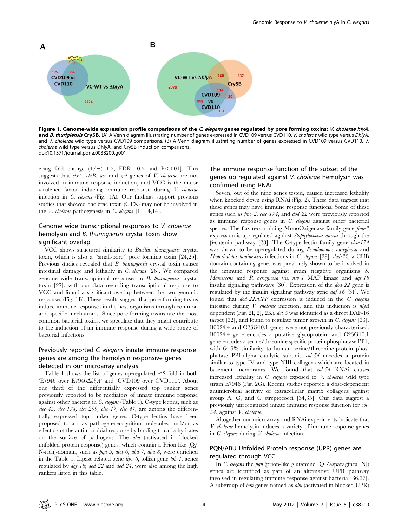

Figure 1. Genome-wide expression profile comparisons of the C. elegans genes regulated by pore forming toxins: V. cholerae hlyA, and B. thurigiensis Cry5B. (A) A Venn diagram illustrating number of genes expressed in CVD109 versus CVD110, V. cholerae wild type versus DhlyA, and V. cholerae wild type versus CVD109 comparisons. (B) A Venn diagram illustrating number of genes expressed in CVD109 versus CVD110, V. cholerae wild type versus DhlyA, and Cry5B induction comparisons. doi:10.1371/journal.pone.0038200.g001

ering fold change  $(+/-)$  1.2, FDR = 0.5 and P $\leq$ 0.01]. This suggests that *ctxA*, *ctxB*, *ace* and *zot* genes of *V*. *cholerae* are not involved in immune response induction, and VCC is the major virulence factor inducing immune response during V. cholerae infection in C. elegans (Fig. 1A). Our findings support previous studies that showed cholerae toxin (CTX) may not be involved in the *V. cholerae* pathogenesis in *C. elegans* [11,14,14].

## Genome wide transcriptional responses to V. cholerae hemolysin and B. thuringiensis crystal toxin show significant overlap

VCC shows structural similarity to Bacillus thuringiensis crystal toxin, which is also a ''small-pore'' pore forming toxin [24,25]. Previous studies revealed that  $B$ . thuringiensis crystal toxin causes intestinal damage and lethality in C. elegans [26]. We compared genome wide transcriptional responses to  $B$ . thuringiensis crystal toxin [27], with our data regarding transcriptional response to VCC and found a significant overlap between the two genomic responses (Fig. 1B). These results suggest that pore forming toxins induce immune responses in the host organisms through common and specific mechanisms. Since pore forming toxins are the most common bacterial toxins, we speculate that they might contribute to the induction of an immune response during a wide range of bacterial infections.

## Previously reported C. elegans innate immune response genes are among the hemolysin responsive genes detected in our microarray analysis

Table 1 shows the list of genes up-regulated  $\geq 2$  fold in both 'E7946 over E7946ΔhlyA' and 'CVD109 over CVD110'. About one third of the differentially expressed top ranker genes previously reported to be mediators of innate immune response against other bacteria in C. elegans (Table 1). C-type lectins, such as  $clec-45$ ,  $clec-174$ ,  $clec-209$ ,  $clec-17$ ,  $clec-47$ , are among the differentially expressed top ranker genes. C-type lectins have been proposed to act as pathogen-recognition molecules, and/or as effectors of the antimicrobial response by binding to carbohydrates on the surface of pathogens. The abu (activated in blocked unfolded protein response) genes, which contain a Prion-like (Q/ N-rich)-domain, such as pqn-5, abu-6, abu-7, abu-8, were enriched in the Table 1. Lipase related gene lips-6, tollish gene toh-1, genes regulated by daf-16; dod-22 and dod-24, were also among the high rankers listed in this table.

## The immune response function of the subset of the genes up regulated against V. cholerae hemolysin was confirmed using RNAi

Seven, out of the nine genes tested, caused increased lethality when knocked down using RNAi (Fig. 2). These data suggest that these genes may have immune response functions. Some of these genes such as fmo-2, clec-174, and dod-22 were previously reported as immune response genes in C. elegans against other bacterial species. The flavin-containing MonoOxigenase family gene  $\ell$ expression is up-regulated against Staphylococcus aureus through the  $\beta$ -catenin pathway [28]. The C-type lectin family gene *clec-174* was shown to be up-regulated during *Pseudomonas aureginosa* and Photorhabdus luminescens infections in C. elegans [29]. dod-22, a CUB domain containing gene, was previously shown to be involved in the immune response against gram negative organisms S. Marcescens and P. aeruginosa via nsy-1 MAP kinase and daf-16 insulin signaling pathways [30]. Expression of the dod-22 gene is regulated by the insulin signaling pathway gene daf-16 [31]. We found that  $dod-22::GFP$  expression is induced in the  $C.$  elegans intestine during V. cholerae infection, and this induction is hlyA dependent (Fig. 2I, 2J, 2K).  $dct-5$  was identified as a direct DAF-16 target [32], and found to regulate tumor growth in C. elegans [33]. B0024.4 and C23G10.1 genes were not previously characterized. B0024.4 gene encodes a putative glycoprotein, and C23G10.1 gene encodes a serine/threonine specific protein phosphatase PP1, with 64.9% similarity to human serine/threonine-protein phosphatase PP1-alpha catalytic subunit. col-54 encodes a protein similar to type IV and type XIII collagens which are located in basement membranes. We found that col-54 RNAi causes increased lethality in C. elegans exposed to V. cholerae wild type strain E7946 (Fig. 2G). Recent studies reported a dose-dependent antimicrobial activity of extracellular matrix collagens against group A, C, and G streptococci [34,35]. Our data suggest a previously unrecognized innate immune response function for col-54, against V. cholerae.

Altogether our microarray and RNAi experiments indicate that V. cholerae hemolysin induces a variety of immune response genes in C. elegans during V. cholerae infection.

## PQN/ABU Unfolded Protein response (UPR) genes are regulated through VCC

In C. elegans the pqn (prion-like glutamine  $[Q]/$  asparagines  $[N]$ ) genes are identified as part of an alternative UPR pathway involved in regulating immune response against bacteria [36,37]. A subgroup of pqn genes named as abu (activated in blocked UPR)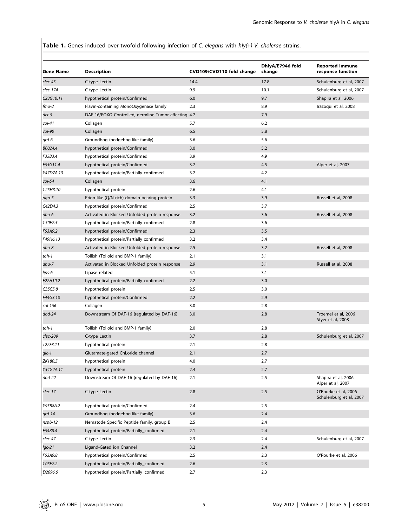Table 1. Genes induced over twofold following infection of C. elegans with hly(+) V. cholerae strains.

| Gene Name | <b>Description</b>                                   | CVD109/CVD110 fold change | DhlyA/E7946 fold<br>change | <b>Reported Immune</b><br>response function     |
|-----------|------------------------------------------------------|---------------------------|----------------------------|-------------------------------------------------|
| clec-45   | C-type Lectin                                        | 14.4                      | 17.8                       | Schulenburg et al, 2007                         |
| clec-174  | C-type Lectin                                        | 9.9                       | 10.1                       | Schulenburg et al, 2007                         |
| C23G10.11 | hypothetical protein/Confirmed                       | 6.0                       | 9.7                        | Shapira et al, 2006                             |
| $fmo-2$   | Flavin-containing MonoOxygenase family               | 2.3                       | 8.9                        | Irazoqui et al, 2008                            |
| dct-5     | DAF-16/FOXO Controlled, germline Tumor affecting 4.7 |                           | 7.9                        |                                                 |
| $col-41$  | Collagen                                             | 5.7                       | 6.2                        |                                                 |
| col-90    | Collagen                                             | 6.5                       | 5.8                        |                                                 |
| grd-6     | Groundhog (hedgehog-like family)                     | 3.6                       | 5.6                        |                                                 |
| B0024.4   | hypothetical protein/Confirmed                       | 3.0                       | 5.2                        |                                                 |
| F35B3.4   | hypothetical protein/Confirmed                       | 3.9                       | 4.9                        |                                                 |
| F55G11.4  | hypothetical protein/Confirmed                       | 3.7                       | 4.5                        | Alper et al, 2007                               |
| Y47D7A.13 | hypothetical protein/Partially confirmed             | 3.2                       | 4.2                        |                                                 |
| col-54    | Collagen                                             | 3.6                       | 4.1                        |                                                 |
| C25H3.10  | hypothetical protein                                 | 2.6                       | 4.1                        |                                                 |
| pqn-5     | Prion-like-(Q/N-rich)-domain-bearing protein         | 3.3                       | 3.9                        | Russell et al, 2008                             |
| C42D4.3   | hypothetical protein/Confirmed                       | 2.5                       | 3.7                        |                                                 |
| abu-6     | Activated in Blocked Unfolded protein response       | 3.2                       | 3.6                        | Russell et al, 2008                             |
| C50F7.5   | hypothetical protein/Partially confirmed             | 2.8                       | 3.6                        |                                                 |
| F53A9.2   | hypothetical protein/Confirmed                       | 2.3                       | 3.5                        |                                                 |
| F49H6.13  | hypothetical protein/Partially confirmed             | 3.2                       | 3.4                        |                                                 |
| abu-8     | Activated in Blocked Unfolded protein response       | 2.5                       | 3.2                        | Russell et al, 2008                             |
| toh-1     | Tollish (Tolloid and BMP-1 family)                   | 2.1                       | 3.1                        |                                                 |
| abu-7     | Activated in Blocked Unfolded protein response       | 2.9                       | 3.1                        | Russell et al, 2008                             |
| lips-6    | Lipase related                                       | 5.1                       | 3.1                        |                                                 |
| F22H10.2  | hypothetical protein/Partially confirmed             | 2.2                       | 3.0                        |                                                 |
| C35C5.8   | hypothetical protein                                 | 2.5                       | 3.0                        |                                                 |
| F44G3.10  | hypothetical protein/Confirmed                       | 2.2                       | 2.9                        |                                                 |
| col-156   | Collagen                                             | 3.0                       | 2.8                        |                                                 |
| dod-24    | Downstream Of DAF-16 (regulated by DAF-16)           | 3.0                       | 2.8                        | Troemel et al, 2006<br>Styer et al, 2008        |
| toh-1     | Tollish (Tolloid and BMP-1 family)                   | 2.0                       | 2.8                        |                                                 |
| clec-209  | C-type Lectin                                        | 3.7                       | 2.8                        | Schulenburg et al, 2007                         |
| T22F3.11  | hypothetical protein                                 | 2.1                       | 2.8                        |                                                 |
| glc-1     | Glutamate-gated ChLoride channel                     | 2.1                       | 2.7                        |                                                 |
| ZK180.5   | hypothetical protein                                 | 4.0                       | 2.7                        |                                                 |
| Y54G2A.11 | hypothetical protein                                 | 2.4                       | 2.7                        |                                                 |
| dod-22    | Downstream Of DAF-16 (regulated by DAF-16)           | 2.1                       | 2.5                        | Shapira et al, 2006<br>Alper et al, 2007        |
| clec-17   | C-type Lectin                                        | 2.8                       | 2.5                        | O'Rourke et al, 2006<br>Schulenburg et al, 2007 |
| Y95B8A.2  | hypothetical protein/Confirmed                       | 2.4                       | 2.5                        |                                                 |
| grd-14    | Groundhog (hedgehog-like family)                     | 3.6                       | 2.4                        |                                                 |
| nspb-12   | Nematode Specific Peptide family, group B            | 2.5                       | 2.4                        |                                                 |
| F54B8.4   | hypothetical protein/Partially_confirmed             | 2.1                       | 2.4                        |                                                 |
| clec-47   | C-type Lectin                                        | 2.3                       | 2.4                        | Schulenburg et al, 2007                         |
| lgc-21    | Ligand-Gated ion Channel                             | 3.2                       | 2.4                        |                                                 |
| F53A9.8   | hypothetical protein/Confirmed                       | 2.5                       | 2.3                        | O'Rourke et al, 2006                            |
| C05E7.2   | hypothetical protein/Partially_confirmed             | 2.6                       | 2.3                        |                                                 |
| D2096.6   | hypothetical protein/Partially_confirmed             | 2.7                       | 2.3                        |                                                 |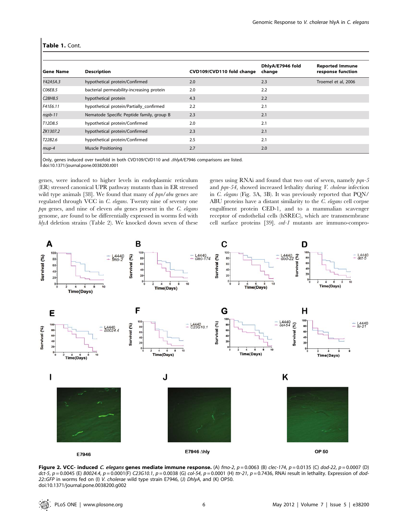| <b>Gene Name</b>                 | <b>Description</b>                        | CVD109/CVD110 fold change | DhlyA/E7946 fold<br>change | <b>Reported Immune</b><br>response function |
|----------------------------------|-------------------------------------------|---------------------------|----------------------------|---------------------------------------------|
| Y42A5A.3                         | hypothetical protein/Confirmed            | 2.0                       | 2.3                        | Troemel et al, 2006                         |
| C06E8.5                          | bacterial permeability-increasing protein | 2.0                       | 2.2                        |                                             |
| C <sub>28</sub> H <sub>8.5</sub> | hypothetical protein                      | 4.3                       | 2.2                        |                                             |
| F41E6.11                         | hypothetical protein/Partially confirmed  | 2.2                       | 2.1                        |                                             |
| nspb-11                          | Nematode Specific Peptide family, group B | 2.3                       | 2.1                        |                                             |
| T12D8.5                          | hypothetical protein/Confirmed            | 2.0                       | 2.1                        |                                             |
| ZK1307.2                         | hypothetical protein/Confirmed            | 2.3                       | 2.1                        |                                             |
| T22B2.6                          | hypothetical protein/Confirmed            | 2.5                       | 2.1                        |                                             |
| mup-4                            | <b>Muscle Positioning</b>                 | 2.7                       | 2.0                        |                                             |

#### Table 1. Cont.

Only, genes induced over twofold in both CVD109/CVD110 and *AhlyA/E7946* comparisons are listed. doi:10.1371/journal.pone.0038200.t001

genes, were induced to higher levels in endoplasmic reticulum (ER) stressed canonical UPR pathway mutants than in ER stressed wild type animals [38]. We found that many of  $pqn/abu$  genes are regulated through VCC in C. elegans. Twenty nine of seventy one  $pqn$  genes, and nine of eleven abu genes present in the  $C$ . elegans genome, are found to be differentially expressed in worms fed with  $hlyA$  deletion strains (Table 2). We knocked down seven of these

genes using RNAi and found that two out of seven, namely  $pqn-5$ and pqn-54, showed increased lethality during V. cholerae infection in C. elegans (Fig. 3A, 3B). It was previously reported that PQN/ ABU proteins have a distant similarity to the C. elegans cell corpse engulfment protein CED-1, and to a mammalian scavenger receptor of endothelial cells (hSREC), which are transmembrane cell surface proteins [39]. ced-1 mutants are immuno-compro-



Figure 2. VCC- induced C. elegans genes mediate immune response. (A)  $\text{f}$ mo-2, p = 0.0063 (B) clec-174, p = 0.0135 (C) dod-22, p = 0.0007 (D) dct-5,  $p = 0.0045$  (E) B0024.4,  $p = 0.0001$ (F) C23G10.1,  $p = 0.0038$  (G) col-54,  $p = 0.0001$  (H) ttr-21,  $p = 0.7436$ , RNAi result in lethality. Expression of dod-22::GFP in worms fed on (I) V. cholerae wild type strain E7946, (J) DhlyA, and (K) OP50. doi:10.1371/journal.pone.0038200.g002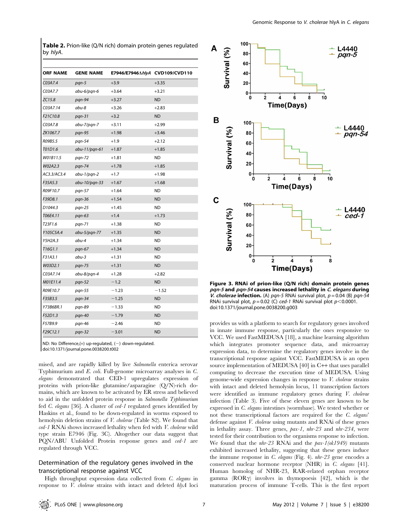Table 2. Prion-like (Q/N rich) domain protein genes regulated by hlyA.

| <b>ORF NAME</b>     | <b>GENE NAME</b> | E7946/E7946AhlyA CVD109/CVD110 |           |
|---------------------|------------------|--------------------------------|-----------|
| C03A7.4             | pqn-5            | $+3.9$                         | $+3.35$   |
| C03A7.7             | abu-6/pan-6      | $+3.64$                        | $+3.21$   |
| ZC15.8              | pqn-94           | $+3.27$                        | <b>ND</b> |
| C03A7.14            | abu-8            | $+3.26$                        | $+2.83$   |
| F21C10.8            | $pqn-31$         | $+3.2$                         | <b>ND</b> |
| C03A7.8             | abu-7/pqn-7      | $+3.11$                        | $+2.99$   |
| ZK1067.7            | pqn-95           | $+1.98$                        | $+3.46$   |
| R09B5.5             | pqn-54           | $+1.9$                         | $+2.12$   |
| T01D1.6             | abu-11/pqn-61    | $+1.87$                        | $+1.85$   |
| W01B11.5            | pqn-72           | $+1.81$                        | <b>ND</b> |
| W02A2.3             | pqn-74           | $+1.78$                        | $+1.85$   |
| AC3.3/AC3.4         | abu-1/pqn-2      | $+1.7$                         | $+1.98$   |
| F35A5.3             | abu-10/pqn-33    | $+1.67$                        | $+1.68$   |
| R09F10.7            | pqn-57           | $+1.64$                        | <b>ND</b> |
| F39D8.1             | pqn-36           | $+1.54$                        | <b>ND</b> |
| D <sub>1044.3</sub> | pqn-25           | $+1.45$                        | <b>ND</b> |
| T06E4.11            | pqn-63           | $+1.4$                         | $+1.73$   |
| T23F1.6             | pqn-71           | $+1.38$                        | <b>ND</b> |
| Y105C5A.4           | $abu-5/pqn-77$   | $+1.35$                        | <b>ND</b> |
| Y5H2A.3             | abu-4            | $+1.34$                        | <b>ND</b> |
| T16G1.1             | pqn-67           | $+1.34$                        | <b>ND</b> |
| F31A3.1             | abu-3            | $+1.31$                        | <b>ND</b> |
| W03D2.1             | pqn-75           | $+1.31$                        | <b>ND</b> |
| C03A7.14            | abu-8/pqn-4      | $+1.28$                        | $+2.82$   |
| M01E11.4            | pqn-52           | $-1.2$                         | <b>ND</b> |
| R09E10.7            | pqn-55           | $-1.23$                        | $-1.52$   |
| F35B3.5             | $pqn-34$         | $-1.25$                        | <b>ND</b> |
| Y73B6BR.1           | pqn-89           | $-1.33$                        | <b>ND</b> |
| F52D1.3             | pqn-40           | $-1.79$                        | <b>ND</b> |
| F57B9.9             | pqn-46           | $-2.46$                        | <b>ND</b> |
| F29C12.1            | pqn-32           | $-3.01$                        | <b>ND</b> |

ND: No Difference,(+) up-regulated, (2) down-regulated. doi:10.1371/journal.pone.0038200.t002

mised, and are rapidly killed by live Salmonella enterica serovar Typhimurium and E. coli. Full-genome microarray analyses in C. elegans demonstrated that CED-1 upregulates expression of proteins with prion-like glutamine/asparagine (Q/N)-rich domains, which are known to be activated by ER stress and believed to aid in the unfolded protein response in Salmonella Typhimurium fed C. elegans [36]. A cluster of ced-1 regulated genes identified by Haskins et al., found to be down-regulated in worms exposed to hemolysin deletion strains of V. cholerae (Table S2). We found that ced-1 RNAi shows increased lethality when fed with V. cholerae wild type strain E7946 (Fig. 3C). Altogether our data suggest that PQN/ABU Unfolded Protein response genes and ced-1 are regulated through VCC.

## Determination of the regulatory genes involved in the transcriptional response against VCC

High throughput expression data collected from C. elegans in response to V. cholerae strains with intact and deleted hlyA loci



Figure 3. RNAi of prion-like (Q/N rich) domain protein genes pqn-5 and pqn-54 causes increased lethality in C. elegans during V. cholerae infection. (A) pqn-5 RNAi survival plot,  $p = 0.04$  (B) pqn-54 RNAi survival plot,  $p = 0.02$  (C) ced-1 RNAi survival plot  $p < 0.0001$ . doi:10.1371/journal.pone.0038200.g003

provides us with a platform to search for regulatory genes involved in innate immune response, particularly the ones responsive to VCC. We used FastMEDUSA [18], a machine learning algorithm which integrates promoter sequence data, and microarray expression data, to determine the regulatory genes involve in the transcriptional response against VCC. FastMEDUSA is an open source implementation of MEDUSA [40] in C++ that uses parallel computing to decrease the execution time of MEDUSA. Using genome-wide expression changes in response to V. cholerae strains with intact and deleted hemolysin locus, 11 transcription factors were identified as immune regulatory genes during V. cholerae infection (Table 3). Five of these eleven genes are known to be expressed in C. elegans intestines (wormbase). We tested whether or not these transcriptional factors are required for the C. elegans' defense against V. cholerae using mutants and RNAi of these genes in lethality assay. Three genes, pax-1, nhr-23 and nhr-234, were tested for their contribution to the organisms response to infection. We found that the *nhr-23* RNAi and the *pax-1(ok1949)* mutants exhibited increased lethality, suggesting that these genes induce the immune response in C. elegans (Fig. 4). nhr-23 gene encodes a conserved nuclear hormone receptor (NHR) in C. elegans [41]. Human homolog of NHR-23, RAR-related orphan receptor gamma  $(ROR\gamma)$  involves in thymopoesis [42], which is the maturation process of immune T-cells. This is the first report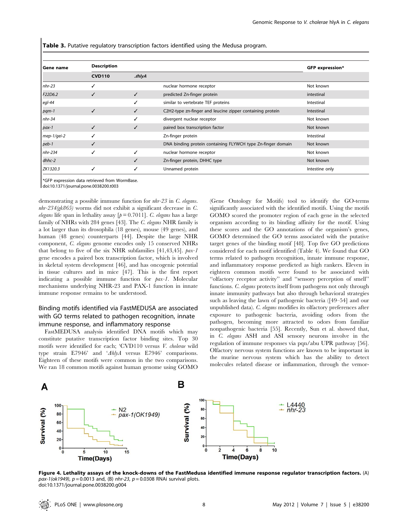Table 3. Putative regulatory transcription factors identified using the Medusa program.

| Gene name   | <b>Description</b> |       |                                                             | <b>GFP</b> expression* |
|-------------|--------------------|-------|-------------------------------------------------------------|------------------------|
|             | <b>CVD110</b>      | AhlyA |                                                             |                        |
| $nhr-23$    |                    |       | nuclear hormone receptor                                    | Not known              |
| F22D6.2     |                    | ✓     | predicted Zn-finger protein                                 | intestinal             |
| $eql-44$    |                    |       | similar to vertebrate TEF proteins                          | Intestinal             |
| pqm-1       | ✓                  | ✓     | C2H2-type zn-finger and leucine zipper containing protein   | Intestinal             |
| $nhr-34$    |                    |       | divergent nuclear receptor                                  | Not known              |
| $pax-1$     |                    | ✓     | paired box transcription factor                             | Not known              |
| mep-1/gei-2 |                    |       | Zn-finger protein                                           | Intestinal             |
| peb-1       |                    |       | DNA binding protein containing FLYWCH type Zn-finger domain | Not known              |
| nhr-234     |                    |       | nuclear hormone receptor                                    | Not known              |
| dhhc-2      |                    |       | Zn-finger protein, DHHC type                                | Not known              |
| ZK1320.3    |                    |       | Unnamed protein                                             | Intestine only         |

\*GFP expression data retrieved from WormBase.

doi:10.1371/journal.pone.0038200.t003

demonstrating a possible immune function for nhr-23 in C. elegans.  $nhr-234$ (gk865) worms did not exhibit a significant decrease in C. elegans life span in lethality assay  $[p=0.7011]$ . C. elegans has a large family of NHRs with 284 genes [43]. The *C. elegans* NHR family is a lot larger than its drosophila (18 genes), mouse (49 genes), and human (48 genes) counterparts [44]. Despite the large NHR component, C. elegans genome encodes only 15 conserved NHRs that belong to five of the six NHR subfamilies [41,43,45]. pax-1 gene encodes a paired box transcription factor, which is involved in skeletal system development [46], and has oncogenic potential in tissue cultures and in mice [47]. This is the first report indicating a possible immune function for pax-1. Molecular mechanisms underlying NHR-23 and PAX-1 function in innate immune response remains to be understood.

## Binding motifs identified via FastMEDUSA are associated with GO terms related to pathogen recognition, innate immune response, and inflammatory response

FastMEDUSA analysis identified DNA motifs which may constitute putative transcription factor binding sites. Top 30 motifs were identified for each; 'CVD110 versus V. cholerae wild type strain E7946' and 'AhlyA versus E7946' comparisons. Eighteen of these motifs were common in the two comparisons. We ran 18 common motifs against human genome using GOMO (Gene Ontology for Motifs) tool to identify the GO-terms significantly associated with the identified motifs. Using the motifs GOMO scored the promoter region of each gene in the selected organism according to its binding affinity for the motif. Using these scores and the GO annotations of the organism's genes, GOMO determined the GO terms associated with the putative target genes of the binding motif [48]. Top five GO predictions considered for each motif identified (Table 4). We found that GO terms related to pathogen recognition, innate immune response, and inflammatory response predicted as high rankers. Eleven in eighteen common motifs were found to be associated with ''olfactory receptor activity'' and ''sensory perception of smell'' functions. C. elegans protects itself from pathogens not only through innate immunity pathways but also through behavioral strategies such as leaving the lawn of pathogenic bacteria ([49–54] and our unpublished data). C. elegans modifies its olfactory preferences after exposure to pathogenic bacteria, avoiding odors from the pathogen, becoming more attracted to odors from familiar nonpathogenic bacteria [55]. Recently, Sun et al. showed that, in C. elegans ASH and ASI sensory neurons involve in the regulation of immune responses via pqn/abu UPR pathway [56]. Olfactory nervous system functions are known to be important in the murine nervous system which has the ability to detect molecules related disease or inflammation, through the vemor-



Figure 4. Lethality assays of the knock-downs of the FastMedusa identified immune response regulator transcription factors. (A)  $pax-1(ok1949), p = 0.0013$  and, (B) nhr-23,  $p = 0.0308$  RNAi survival plots. doi:10.1371/journal.pone.0038200.g004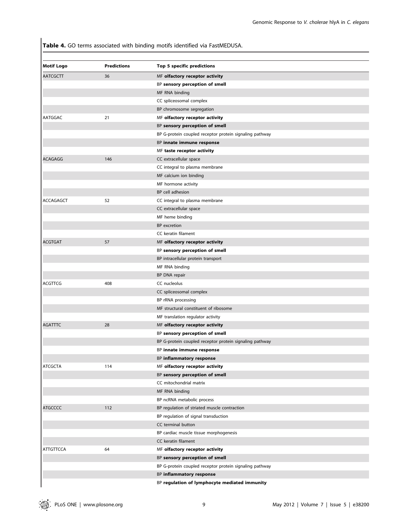Table 4. GO terms associated with binding motifs identified via FastMEDUSA.

| <b>Motif Logo</b> | <b>Predictions</b> | Top 5 specific predictions                              |
|-------------------|--------------------|---------------------------------------------------------|
| <b>AATCGCTT</b>   | 36                 | MF olfactory receptor activity                          |
|                   |                    | BP sensory perception of smell                          |
|                   |                    | MF RNA binding                                          |
|                   |                    | CC spliceosomal complex                                 |
|                   |                    | BP chromosome segregation                               |
| AATGGAC           | 21                 | MF olfactory receptor activity                          |
|                   |                    | BP sensory perception of smell                          |
|                   |                    | BP G-protein coupled receptor protein signaling pathway |
|                   |                    | BP innate immune response                               |
|                   |                    | MF taste receptor activity                              |
| <b>ACAGAGG</b>    | 146                | CC extracellular space                                  |
|                   |                    | CC integral to plasma membrane                          |
|                   |                    | MF calcium ion binding                                  |
|                   |                    | MF hormone activity                                     |
|                   |                    | BP cell adhesion                                        |
| <b>ACCAGAGCT</b>  | 52                 | CC integral to plasma membrane                          |
|                   |                    | CC extracellular space                                  |
|                   |                    | MF heme binding                                         |
|                   |                    | BP excretion                                            |
|                   |                    | CC keratin filament                                     |
| <b>ACGTGAT</b>    | 57                 | MF olfactory receptor activity                          |
|                   |                    | BP sensory perception of smell                          |
|                   |                    | BP intracellular protein transport                      |
|                   |                    | MF RNA binding                                          |
|                   |                    | BP DNA repair                                           |
| ACGTTCG           | 408                | CC nucleolus                                            |
|                   |                    | CC spliceosomal complex                                 |
|                   |                    | BP rRNA processing                                      |
|                   |                    | MF structural constituent of ribosome                   |
|                   |                    | MF translation regulator activity                       |
| <b>AGATTTC</b>    | 28                 | MF olfactory receptor activity                          |
|                   |                    | BP sensory perception of smell                          |
|                   |                    | BP G-protein coupled receptor protein signaling pathway |
|                   |                    | BP innate immune response                               |
|                   |                    | BP inflammatory response                                |
| <b>ATCGCTA</b>    | 114                | MF olfactory receptor activity                          |
|                   |                    | BP sensory perception of smell                          |
|                   |                    | CC mitochondrial matrix                                 |
|                   |                    | MF RNA binding                                          |
|                   |                    | BP ncRNA metabolic process                              |
| <b>ATGCCCC</b>    | 112                | BP regulation of striated muscle contraction            |
|                   |                    | BP regulation of signal transduction                    |
|                   |                    | CC terminal button                                      |
|                   |                    | BP cardiac muscle tissue morphogenesis                  |
|                   |                    | CC keratin filament                                     |
| <b>ATTGTTCCA</b>  | 64                 | MF olfactory receptor activity                          |
|                   |                    | BP sensory perception of smell                          |
|                   |                    | BP G-protein coupled receptor protein signaling pathway |
|                   |                    | BP inflammatory response                                |
|                   |                    | BP regulation of lymphocyte mediated immunity           |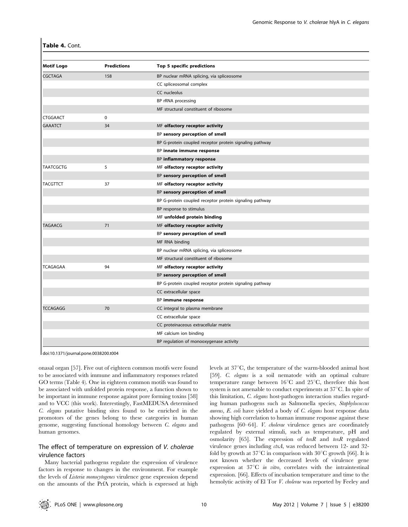|  |  | Table 4. Cont. |
|--|--|----------------|
|--|--|----------------|

| <b>Motif Logo</b> | <b>Predictions</b> | Top 5 specific predictions                              |
|-------------------|--------------------|---------------------------------------------------------|
| <b>CGCTAGA</b>    | 158                | BP nuclear mRNA splicing, via spliceosome               |
|                   |                    | CC spliceosomal complex                                 |
|                   |                    | CC nucleolus                                            |
|                   |                    | BP rRNA processing                                      |
|                   |                    | MF structural constituent of ribosome                   |
| <b>CTGGAACT</b>   | 0                  |                                                         |
| <b>GAAATCT</b>    | 34                 | MF olfactory receptor activity                          |
|                   |                    | BP sensory perception of smell                          |
|                   |                    | BP G-protein coupled receptor protein signaling pathway |
|                   |                    | BP innate immune response                               |
|                   |                    | BP inflammatory response                                |
| <b>TAATCGCTG</b>  | 5                  | MF olfactory receptor activity                          |
|                   |                    | BP sensory perception of smell                          |
| <b>TACGTTCT</b>   | 37                 | MF olfactory receptor activity                          |
|                   |                    | BP sensory perception of smell                          |
|                   |                    | BP G-protein coupled receptor protein signaling pathway |
|                   |                    | BP response to stimulus                                 |
|                   |                    | MF unfolded protein binding                             |
| TAGAACG           | 71                 | MF olfactory receptor activity                          |
|                   |                    | BP sensory perception of smell                          |
|                   |                    | MF RNA binding                                          |
|                   |                    | BP nuclear mRNA splicing, via spliceosome               |
|                   |                    | MF structural constituent of ribosome                   |
| <b>TCAGAGAA</b>   | 94                 | MF olfactory receptor activity                          |
|                   |                    | BP sensory perception of smell                          |
|                   |                    | BP G-protein coupled receptor protein signaling pathway |
|                   |                    | CC extracellular space                                  |
|                   |                    | BP immune response                                      |
| <b>TCCAGAGG</b>   | 70                 | CC integral to plasma membrane                          |
|                   |                    | CC extracellular space                                  |
|                   |                    | CC proteinaceous extracellular matrix                   |
|                   |                    | MF calcium ion binding                                  |
|                   |                    | BP regulation of monooxygenase activity                 |
|                   |                    |                                                         |

doi:10.1371/journal.pone.0038200.t004

onasal organ [57]. Five out of eighteen common motifs were found to be associated with immune and inflammatory responses related GO terms (Table 4). One in eighteen common motifs was found to be associated with unfolded protein response, a function shown to be important in immune response against pore forming toxins [58] and to VCC (this work). Interestingly, FastMEDUSA determined C. elegans putative binding sites found to be enriched in the promotors of the genes belong to these categories in human genome, suggesting functional homology between C. elegans and human genomes.

## The effect of temperature on expression of V. cholerae virulence factors

Many bacterial pathogens regulate the expression of virulence factors in response to changes in the environment. For example the levels of Listeria monocytogenes virulence gene expression depend on the amounts of the PrfA protein, which is expressed at high levels at  $37^{\circ}$ C, the temperature of the warm-blooded animal host [59]. *C. elegans* is a soil nematode with an optimal culture temperature range between  $16^{\circ}$ C and  $25^{\circ}$ C, therefore this host system is not amenable to conduct experiments at  $37^{\circ}$ C. In spite of this limitation, C. elegans host-pathogen interaction studies regarding human pathogens such as Salmonella species, Staphylococcus aureus, E. coli have yielded a body of C. elegans host response data showing high correlation to human immune response against these pathogens [60–64]. V. cholerae virulence genes are coordinately regulated by external stimuli, such as temperature, pH and osmolarity [65]. The expression of  $toxR$  and  $toxR$  regulated virulence genes including *ctxA*, was reduced between 12- and 32fold by growth at  $37^{\circ}$ C in comparison with  $30^{\circ}$ C growth [66]. It is not known whether the decreased levels of virulence gene expression at  $37^{\circ}\text{C}$  in vitro, correlates with the intraintestinal expression. [66]. Effects of incubation temperature and time to the hemolytic activity of El Tor V. cholerae was reported by Feeley and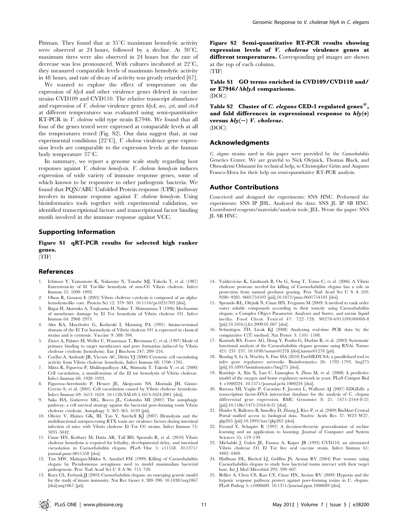Pittman. They found that at  $35^{\circ}$ C maximum hemolytic activity were observed at 24 hours, followed by a decline. At  $30^{\circ}$ C, maximum titres were also observed in 24 hours but the rate of decrease was less pronounced. With cultures incubated at  $22^{\circ}$ C, they measured comparable levels of maximum hemolytic activity in 48 hours, and rate of decay of activity was greatly retarded [67].

We wanted to explore the effect of temperature on the expression of hlyA and other virulence genes deleted in vaccine strains CVD109 and CVD110. The relative transcript abundance and expression of *V. cholerae* virulence genes  $h/yA$ , ace, zot, and ctxA at different temperatures was evaluated using semi-quantitative RT-PCR in V. cholerae wild type strain E7946. We found that all four of the genes tested were expressed at comparable levels at all the temperatures tested (Fig. S2). Our data suggest that, at our experimental conditions  $[22^{\circ}\text{C}],$  *V. cholerae* virulence gene expression levels are comparable to the expression levels at the human body temperature  $37^{\circ}$ C.

In summary, we report a genome scale study regarding host responses against V. cholerae hemolysin. V. cholerae hemolysin induces expression of wide variety of immune response genes, some of which known to be responsive to other pathogenic bacteria. We found that PQN/ABU Unfolded Protein response (UPR) pathway involves in immune response against V. cholerae hemolysin. Using bioinformatics tools together with experimental validation, we identified transcriptional factors and transcriptional factor binding motifs involved in the immune response against VCC.

## Supporting Information

Figure S1 qRT-PCR results for selected high ranker genes.

(TIF)

#### References

- 1. Ichinose Y, Yamamoto K, Nakasone N, Tanabe MJ, Takeda T, et al. (1987) Enterotoxicity of El Tor-like hemolysin of non-O1 Vibrio cholerae. Infect Immun 55: 1090–1093.
- 2. Olson R, Gouaux E (2003) Vibrio cholerae cytolysin is composed of an alphahemolysin-like core. Protein Sci 12: 379–383. 10.1110/ps.0231703 [doi].
- 3. Ikigai H, Akatsuka A, Tsujiyama H, Nakae T, Shimamura T (1996) Mechanism of membrane damage by El Tor hemolysin of Vibrio cholerae O1. Infect Immun 64: 2968–2973.
- 4. Alm RA, Mayrhofer G, Kotlarski I, Manning PA (1991) Amino-terminal domain of the El Tor haemolysin of Vibrio cholerae O1 is expressed in classical strains and is cytotoxic. Vaccine 9: 588–594.
- 5. Zitzer A, Palmer M, Weller U, Wassenaar T, Biermann C, et al. (1997) Mode of primary binding to target membranes and pore formation induced by Vibrio cholerae cytolysin (hemolysin). Eur J Biochem 247: 209–216.
- 6. Coelho A, Andrade JR, Vicente AC, Dirita VJ (2000) Cytotoxic cell vacuolating activity from Vibrio cholerae hemolysin. Infect Immun 68: 1700–1705.
- 7. Mitra R, Figueroa P, Mukhopadhyay AK, Shimada T, Takeda Y, et al. (2000) Cell vacuolation, a manifestation of the El tor hemolysin of Vibrio cholerae. Infect Immun 68: 1928–1933.
- 8. Figueroa-Arredondo P, Heuser JE, Akopyants NS, Morisaki JH, Giono-Cerezo S, et al. (2001) Cell vacuolation caused by Vibrio cholerae hemolysin. Infect Immun 69: 1613–1624. 10.1128/IAI.69.3.1613-1624.2001 [doi].
- 9. Saka HA, Gutierrez MG, Bocco JL, Colombo MI (2007) The autophagic pathway: a cell survival strategy against the bacterial pore-forming toxin Vibrio cholerae cytolysin. Autophagy 3: 363–365. 4159 [pii].
- 10. Olivier V, Haines GK, III, Tan Y, Satchell KJ (2007) Hemolysin and the multifunctional autoprocessing RTX toxin are virulence factors during intestinal infection of mice with Vibrio cholerae El Tor O1 strains. Infect Immun 75: 5035–5042.
- 11. Cinar HN, Kothary M, Datta AR, Tall BD, Sprando R, et al. (2010) Vibrio cholerae hemolysin is required for lethality, developmental delay, and intestinal vacuolation in Caenorhabditis elegans. PLoS One 5: e11558. 10.1371/ journal.pone.0011558 [doi].
- 12. Tan MW, Mahajan-Miklos S, Ausubel FM (1999) Killing of Caenorhabditis elegans by Pseudomonas aeruginosa used to model mammalian bacterial pathogenesis. Proc Natl Acad Sci U S A 96: 715–720.
- 13. Kurz CL, Ewbank JJ (2003) Caenorhabditis elegans: an emerging genetic model for the study of innate immunity. Nat Rev Genet 4: 380–390. 10.1038/nrg1067 [doi];nrg1067 [pii].

Figure S2 Semi-quantitative RT-PCR results showing expression levels of V. cholerae virulence genes at different temperatures. Corresponding gel images are shown at the top of each column.

(TIF)

Table S1 GO terms enriched in CVD109/CVD110 and/ or E7946/ $\Delta$ hlyA comparisons. (DOC)

Table S2 Cluster of C. elegans CED-1 regulated genes#, and fold differences in expressional response to  $h l y (+)$ versus  $h l y(-) V.$  cholerae. (DOC)

## Acknowledgments

C. elegans strains used in this paper were provided by the Caenorhabditis Genetics Center. We are grateful to Nick Olejnick, Thomas Black, and Oluwakemi Odusami for technical help, to Christopher Grim and Augusto Franco-Mora for their help on semi-quantitative RT-PCR analysis.

### Author Contributions

Conceived and designed the experiments: SNS HNC. Performed the experiments: SNS IP JHL. Analyzed the data: SNS JL IP SB HNC. Contributed reagents/materials/analysis tools: JEL. Wrote the paper: SNS JL SB HNC.

- 14. Vaitkevicius K, Lindmark B, Ou G, Song T, Toma C, et al. (2006) A Vibrio cholerae protease needed for killing of Caenorhabditis elegans has a role in protection from natural predator grazing. Proc Natl Acad Sci U S A 103: 9280–9285. 0601754103 [pii];10.1073/pnas.0601754103 [doi].
- 15. Sprando RL, Olejnik N, Cinar HN, Ferguson M (2009) A method to rank order water soluble compounds according to their toxicity using Caenorhabditis elegans, a Complex Object Parametric Analyzer and Sorter, and axenic liquid media. Food Chem Toxicol 47: 722–728. S0278-6915(09)00008-8 [pii];10.1016/j.fct.2009.01.007 [doi].
- 16. Schmittgen TD, Livak KJ (2008) Analyzing real-time PCR data by the comparative C(T) method. Nat Protoc 3: 1101–1108.
- 17. Kamath RS, Fraser AG, Dong Y, Poulin G, Durbin R, et al. (2003) Systematic functional analysis of the Caenorhabditis elegans genome using RNAi. Nature 421: 231–237. 10.1038/nature01278 [doi];nature01278 [pii].
- 18. Bozdag S, Li A, Wuchty S, Fine HA (2010) FastMEDUSA: a parallelized tool to infer gene regulatory networks. Bioinformatics 26: 1792–1793. btq275 [pii];10.1093/bioinformatics/btq275 [doi].
- 19. Kundaje A, Xin X, Lan C, Lianoglou S, Zhou M, et al. (2008) A predictive model of the oxygen and heme regulatory network in yeast. PLoS Comput Biol 4: e1000224. 10.1371/journal.pcbi.1000224 [doi].
- 20. Barrasa MI, Vaglio P, Cavasino F, Jacotot L, Walhout AJ (2007) EDGEdb: a transcription factor-DNA interaction database for the analysis of C. elegans differential gene expression. BMC Genomics 8: 21. 1471-2164-8-21 [pii];10.1186/1471-2164-8-21 [doi].
- 21. Haider S, Ballester B, Smedley D, Zhang J, Rice P, et al. (2009) BioMart Central Portal–unified access to biological data. Nucleic Acids Res 37: W23–W27. gkp265 [pii];10.1093/nar/gkp265 [doi].
- 22. Freund Y, Schapire R (1997) A decision-theoretic generalization of on-line learning and an application to boosting. Journal of Computer and System Sciences 55: 119–139.
- 23. Michalski J, Galen JE, Fasano A, Kaper JB (1993) CVD110, an attenuated Vibrio cholerae O1 El Tor live oral vaccine strain. Infect Immun 61: 4462–4468.
- 24. Huffman DL, Bischof LJ, Griffitts JS, Aroian RV (2004) Pore worms: using Caenorhabditis elegans to study how bacterial toxins interact with their target host. Int J Med Microbiol 293: 599–607.
- 25. Bellier A, Chen CS, Kao CY, Cinar HN, Aroian RV (2009) Hypoxia and the hypoxic response pathway protect against pore-forming toxins in C. elegans. PLoS Pathog 5: e1000689. 10.1371/journal.ppat.1000689 [doi].